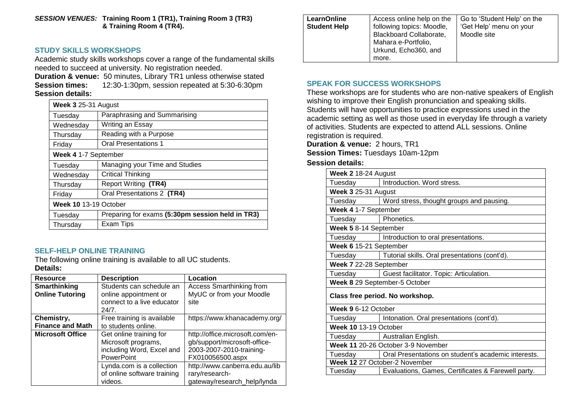*SESSION VENUES:* **Training Room 1 (TR1), Training Room 3 (TR3) & Training Room 4 (TR4).**

# **STUDY SKILLS WORKSHOPS**

Academic study skills workshops cover a range of the fundamental skills needed to succeed at university. No registration needed.

**Duration & venue:** 50 minutes, Library TR1 unless otherwise stated **Session times:** 12:30-1:30pm, session repeated at 5:30-6:30pm **Session details:**

| Week 3 25-31 August   |                                                  |  |
|-----------------------|--------------------------------------------------|--|
| Tuesday               | Paraphrasing and Summarising                     |  |
| Wednesday             | Writing an Essay                                 |  |
| Thursday              | Reading with a Purpose                           |  |
| Friday                | <b>Oral Presentations 1</b>                      |  |
| Week 4 1-7 September  |                                                  |  |
| Tuesday               | Managing your Time and Studies                   |  |
| Wednesday             | <b>Critical Thinking</b>                         |  |
| Thursday              | Report Writing (TR4)                             |  |
| Friday                | Oral Presentations 2 (TR4)                       |  |
| Week 10 13-19 October |                                                  |  |
| Tuesday               | Preparing for exams (5:30pm session held in TR3) |  |
| Thursday              | Exam Tips                                        |  |

# **SELF-HELP ONLINE TRAINING**

The following online training is available to all UC students. **Details:**

| <b>Resource</b>                        | <b>Description</b>                                | Location                                                    |
|----------------------------------------|---------------------------------------------------|-------------------------------------------------------------|
| Smarthinking<br><b>Online Tutoring</b> | Students can schedule an<br>online appointment or | <b>Access Smarthinking from</b><br>MyUC or from your Moodle |
|                                        | connect to a live educator<br>24/7.               | site                                                        |
| Chemistry,                             | Free training is available                        | https://www.khanacademy.org/                                |
| <b>Finance and Math</b>                | to students online.                               |                                                             |
| <b>Microsoft Office</b>                | Get online training for                           | http://office.microsoft.com/en-                             |
|                                        | Microsoft programs,                               | gb/support/microsoft-office-                                |
|                                        | including Word, Excel and                         | 2003-2007-2010-training-                                    |
|                                        | <b>PowerPoint</b>                                 | FX010056500.aspx                                            |
|                                        | Lynda.com is a collection                         | http://www.canberra.edu.au/lib                              |
|                                        | of online software training                       | rary/research-                                              |
|                                        | videos.                                           | gateway/research_help/lynda                                 |

| <b>LearnOnline</b><br><b>Student Help</b> | Access online help on the<br>following topics: Moodle,<br>Blackboard Collaborate,<br>Mahara e-Portfolio, | Go to 'Student Help' on the<br>'Get Help' menu on your<br>Moodle site |
|-------------------------------------------|----------------------------------------------------------------------------------------------------------|-----------------------------------------------------------------------|
|                                           | Urkund, Echo360, and<br>more.                                                                            |                                                                       |

### **SPEAK FOR SUCCESS WORKSHOPS**

These workshops are for students who are non-native speakers of English wishing to improve their English pronunciation and speaking skills. Students will have opportunities to practice expressions used in the academic setting as well as those used in everyday life through a variety of activities. Students are expected to attend ALL sessions. Online registration is required.

**Duration & venue:** 2 hours, TR1

**Session Times:** Tuesdays 10am-12pm

#### **Session details:**

| Week 2 18-24 August                |                                                         |  |  |
|------------------------------------|---------------------------------------------------------|--|--|
| Tuesday                            | Introduction. Word stress.                              |  |  |
| Week 3 25-31 August                |                                                         |  |  |
| Tuesday                            | Word stress, thought groups and pausing.                |  |  |
| Week 4 1-7 September               |                                                         |  |  |
| Tuesday                            | Phonetics.                                              |  |  |
| Week 5 8-14 September              |                                                         |  |  |
|                                    | Tuesday   Introduction to oral presentations.           |  |  |
| Week 6 15-21 September             |                                                         |  |  |
|                                    | Tuesday   Tutorial skills. Oral presentations (cont'd). |  |  |
| Week 7 22-28 September             |                                                         |  |  |
| Tuesday                            | Guest facilitator. Topic: Articulation.                 |  |  |
| Week 8 29 September-5 October      |                                                         |  |  |
| Class free period. No workshop.    |                                                         |  |  |
| Week 9 6-12 October                |                                                         |  |  |
| Tuesday I                          | Intonation. Oral presentations (cont'd).                |  |  |
| Week 10 13-19 October              |                                                         |  |  |
|                                    | Tuesday   Australian English.                           |  |  |
| Week 11 20-26 October 3-9 November |                                                         |  |  |
| Tuesday                            | Oral Presentations on student's academic interests.     |  |  |
| Week 12 27 October-2 November      |                                                         |  |  |
| Tuesday                            | Evaluations, Games, Certificates & Farewell party.      |  |  |